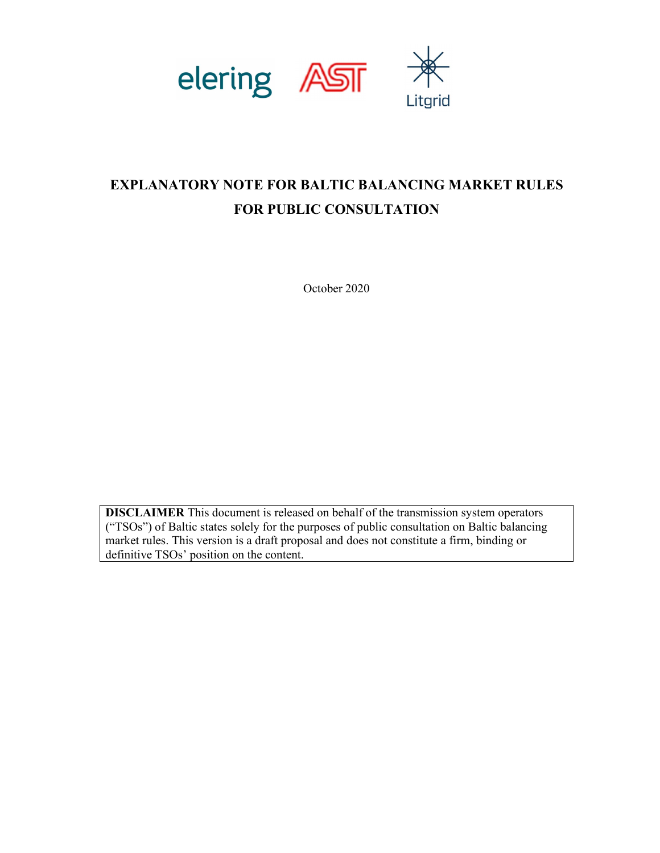

# EXPLANATORY NOTE FOR BALTIC BALANCING MARKET RULES FOR PUBLIC CONSULTATION

October 2020

DISCLAIMER This document is released on behalf of the transmission system operators ("TSOs") of Baltic states solely for the purposes of public consultation on Baltic balancing market rules. This version is a draft proposal and does not constitute a firm, binding or definitive TSOs' position on the content.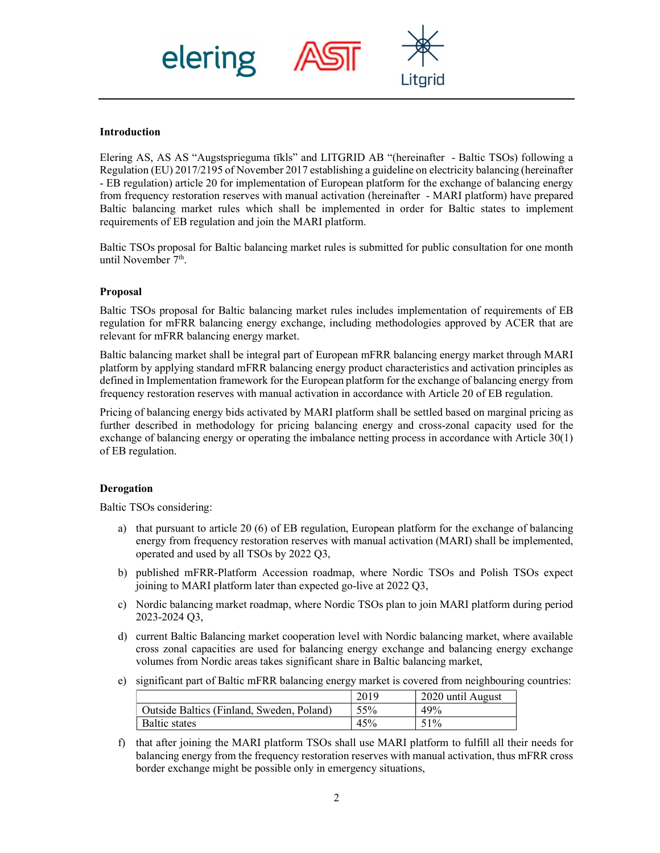

# Introduction

Elering AS, AS AS "Augstsprieguma tīkls" and LITGRID AB "(hereinafter - Baltic TSOs) following a Regulation (EU) 2017/2195 of November 2017 establishing a guideline on electricity balancing (hereinafter - EB regulation) article 20 for implementation of European platform for the exchange of balancing energy from frequency restoration reserves with manual activation (hereinafter - MARI platform) have prepared Baltic balancing market rules which shall be implemented in order for Baltic states to implement requirements of EB regulation and join the MARI platform.

Baltic TSOs proposal for Baltic balancing market rules is submitted for public consultation for one month until November 7<sup>th</sup>.

## Proposal

Baltic TSOs proposal for Baltic balancing market rules includes implementation of requirements of EB regulation for mFRR balancing energy exchange, including methodologies approved by ACER that are relevant for mFRR balancing energy market.

Baltic balancing market shall be integral part of European mFRR balancing energy market through MARI platform by applying standard mFRR balancing energy product characteristics and activation principles as defined in Implementation framework for the European platform for the exchange of balancing energy from frequency restoration reserves with manual activation in accordance with Article 20 of EB regulation.

Pricing of balancing energy bids activated by MARI platform shall be settled based on marginal pricing as further described in methodology for pricing balancing energy and cross-zonal capacity used for the exchange of balancing energy or operating the imbalance netting process in accordance with Article 30(1) of EB regulation.

#### Derogation

Baltic TSOs considering:

- a) that pursuant to article 20 (6) of EB regulation, European platform for the exchange of balancing energy from frequency restoration reserves with manual activation (MARI) shall be implemented, operated and used by all TSOs by 2022 Q3,
- b) published mFRR-Platform Accession roadmap, where Nordic TSOs and Polish TSOs expect joining to MARI platform later than expected go-live at 2022 Q3,
- c) Nordic balancing market roadmap, where Nordic TSOs plan to join MARI platform during period 2023-2024 Q3,
- d) current Baltic Balancing market cooperation level with Nordic balancing market, where available cross zonal capacities are used for balancing energy exchange and balancing energy exchange volumes from Nordic areas takes significant share in Baltic balancing market,
- e) significant part of Baltic mFRR balancing energy market is covered from neighbouring countries:

|                                           | 2019 | 2020 until August |
|-------------------------------------------|------|-------------------|
| Outside Baltics (Finland, Sweden, Poland) | 55%  | 49%               |
| <b>Baltic states</b>                      | 45%  | 51%               |

f) that after joining the MARI platform TSOs shall use MARI platform to fulfill all their needs for balancing energy from the frequency restoration reserves with manual activation, thus mFRR cross border exchange might be possible only in emergency situations,